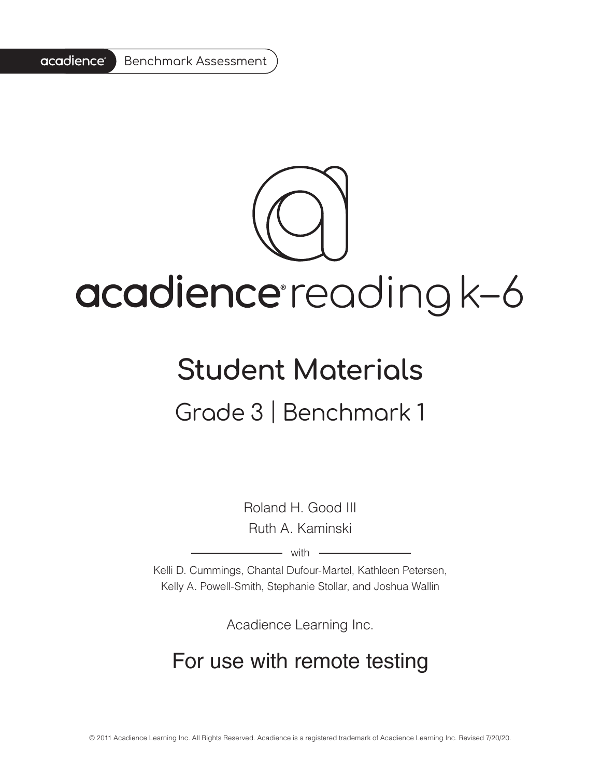

# acadience reading k-6

### **Student Materials**

#### Grade 3 | Benchmark 1

Roland H. Good III Ruth A. Kaminski

 $-$  with  $-$ 

Kelli D. Cummings, Chantal Dufour-Martel, Kathleen Petersen, Kelly A. Powell-Smith, Stephanie Stollar, and Joshua Wallin

Acadience Learning Inc.

#### For use with remote testing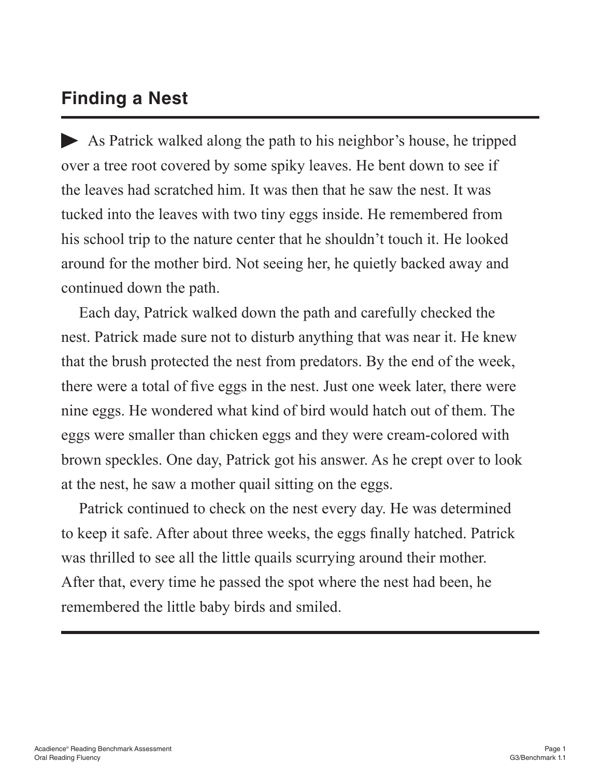#### **Finding a Nest**

As Patrick walked along the path to his neighbor's house, he tripped over a tree root covered by some spiky leaves. He bent down to see if the leaves had scratched him. It was then that he saw the nest. It was tucked into the leaves with two tiny eggs inside. He remembered from his school trip to the nature center that he shouldn't touch it. He looked around for the mother bird. Not seeing her, he quietly backed away and continued down the path.

Each day, Patrick walked down the path and carefully checked the nest. Patrick made sure not to disturb anything that was near it. He knew that the brush protected the nest from predators. By the end of the week, there were a total of five eggs in the nest. Just one week later, there were nine eggs. He wondered what kind of bird would hatch out of them. The eggs were smaller than chicken eggs and they were cream-colored with brown speckles. One day, Patrick got his answer. As he crept over to look at the nest, he saw a mother quail sitting on the eggs.

Patrick continued to check on the nest every day. He was determined to keep it safe. After about three weeks, the eggs finally hatched. Patrick was thrilled to see all the little quails scurrying around their mother. After that, every time he passed the spot where the nest had been, he remembered the little baby birds and smiled.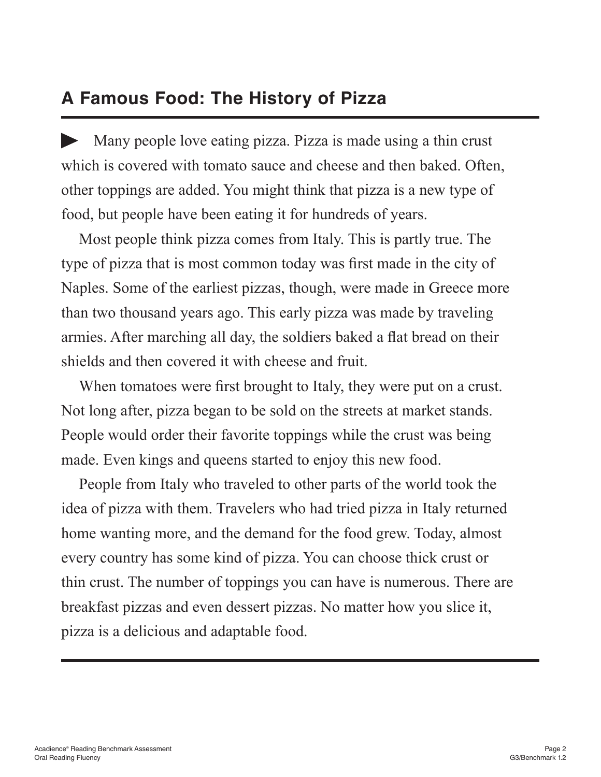#### **A Famous Food: The History of Pizza**

Many people love eating pizza. Pizza is made using a thin crust which is covered with tomato sauce and cheese and then baked. Often, other toppings are added. You might think that pizza is a new type of food, but people have been eating it for hundreds of years.

Most people think pizza comes from Italy. This is partly true. The type of pizza that is most common today was first made in the city of Naples. Some of the earliest pizzas, though, were made in Greece more than two thousand years ago. This early pizza was made by traveling armies. After marching all day, the soldiers baked a flat bread on their shields and then covered it with cheese and fruit.

When tomatoes were first brought to Italy, they were put on a crust. Not long after, pizza began to be sold on the streets at market stands. People would order their favorite toppings while the crust was being made. Even kings and queens started to enjoy this new food.

People from Italy who traveled to other parts of the world took the idea of pizza with them. Travelers who had tried pizza in Italy returned home wanting more, and the demand for the food grew. Today, almost every country has some kind of pizza. You can choose thick crust or thin crust. The number of toppings you can have is numerous. There are breakfast pizzas and even dessert pizzas. No matter how you slice it, pizza is a delicious and adaptable food.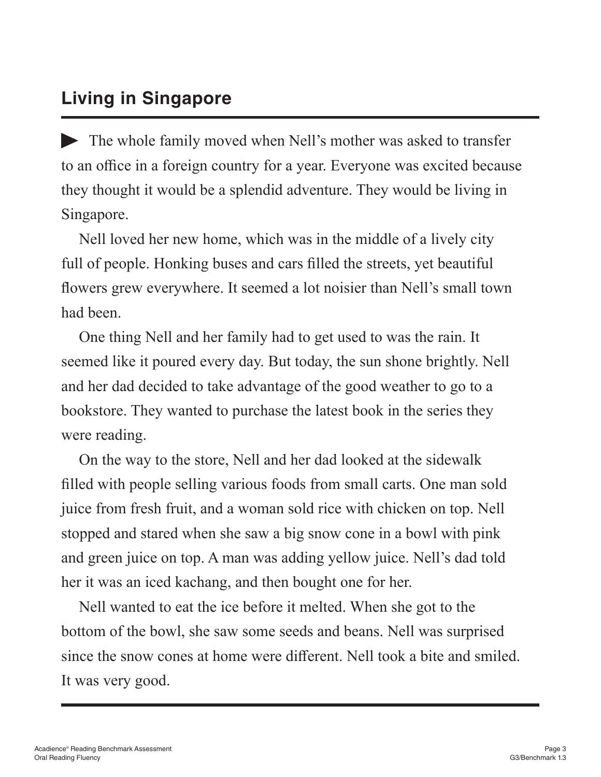#### **Living in Singapore**

The whole family moved when Nell's mother was asked to transfer to an office in a foreign country for a year. Everyone was excited because they thought it would be a splendid adventure. They would be living in Singapore.

Nell loved her new home, which was in the middle of a lively city full of people. Honking buses and cars filled the streets, yet beautiful flowers grew everywhere. It seemed a lot noisier than Nell's small town had been.

One thing Nell and her family had to get used to was the rain. It seemed like it poured every day. But today, the sun shone brightly. Nell and her dad decided to take advantage of the good weather to go to a bookstore. They wanted to purchase the latest book in the series they were reading.

On the way to the store, Nell and her dad looked at the sidewalk filled with people selling various foods from small carts. One man sold juice from fresh fruit, and a woman sold rice with chicken on top. Nell stopped and stared when she saw a big snow cone in a bowl with pink and green juice on top. A man was adding yellow juice. Nell's dad told her it was an iced kachang, and then bought one for her.

Nell wanted to eat the ice before it melted. When she got to the bottom of the bowl, she saw some seeds and beans. Nell was surprised since the snow cones at home were different. Nell took a bite and smiled. It was very good.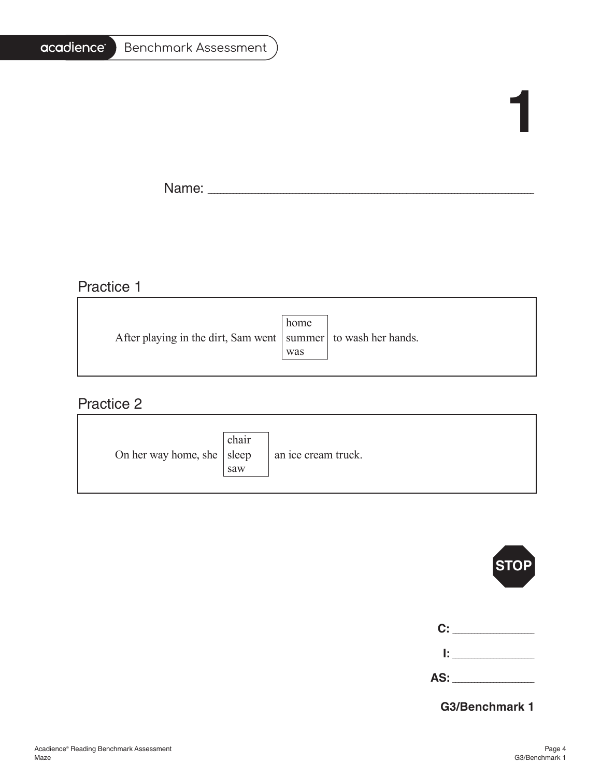#### acadience<sup>®</sup> Benchmark Assessment

## **1**

f,

Name: \_\_\_\_\_\_\_\_\_\_\_\_\_\_\_\_\_\_\_\_\_\_\_\_\_\_\_\_\_\_\_\_\_\_\_\_\_\_\_\_\_\_\_\_\_\_\_\_\_\_\_\_\_\_\_\_\_\_\_\_\_\_\_\_\_\_\_\_\_\_\_\_\_\_\_\_\_\_\_\_\_\_\_\_\_\_\_\_\_\_\_\_\_\_\_\_\_\_\_\_\_\_\_

#### Practice 1

|                                                                   | home |  |
|-------------------------------------------------------------------|------|--|
| After playing in the dirt, Sam went   summer   to wash her hands. |      |  |
|                                                                   | was  |  |
|                                                                   |      |  |

<u> 1989 - Johann Barn, fransk politik fotograf (d. 1989)</u>

#### Practice 2

| On her way home, she $ $ sleep | chair<br>saw | an ice cream truck. |
|--------------------------------|--------------|---------------------|
|--------------------------------|--------------|---------------------|



| C:  |        |
|-----|--------|
|     | ______ |
| AS: |        |

**G3/Benchmark 1**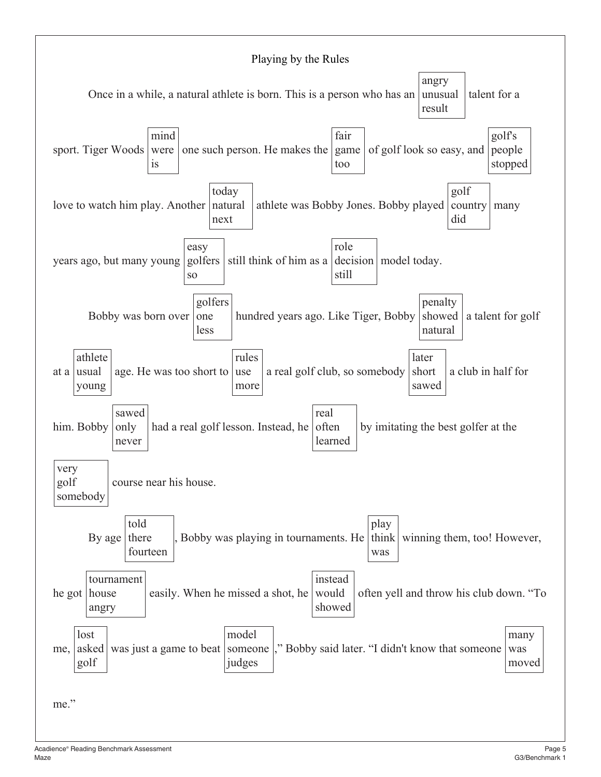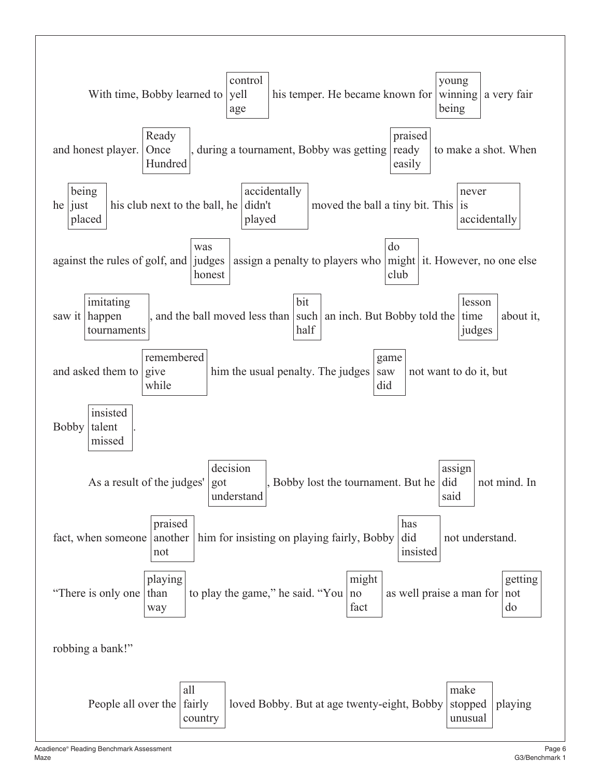